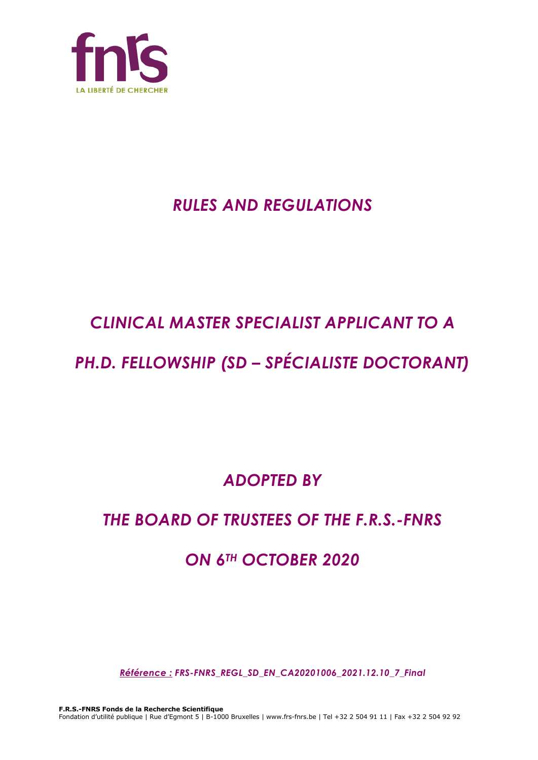

## *RULES AND REGULATIONS*

# *CLINICAL MASTER SPECIALIST APPLICANT TO A*

# *PH.D. FELLOWSHIP (SD – SPÉCIALISTE DOCTORANT)*

*ADOPTED BY*

## *THE BOARD OF TRUSTEES OF THE F.R.S.-FNRS*

# *ON 6TH OCTOBER 2020*

*Référence : FRS-FNRS\_REGL\_SD\_EN\_CA20201006\_2021.12.10\_7\_Final*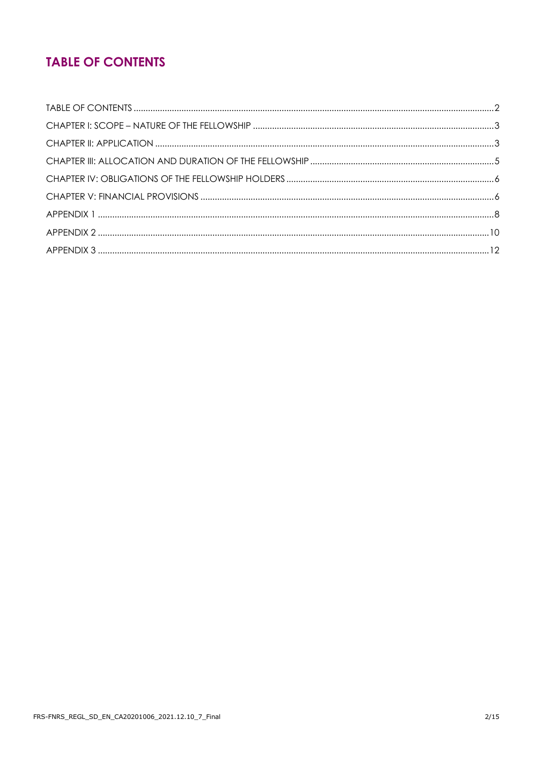## **TABLE OF CONTENTS**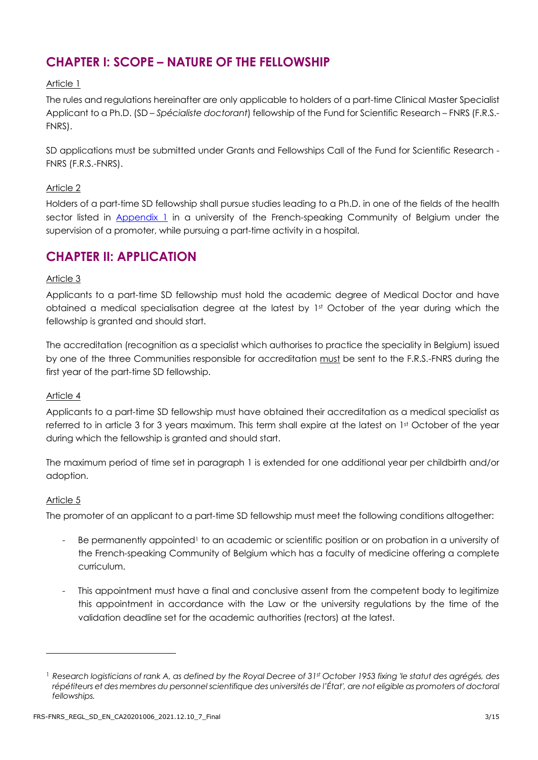## **CHAPTER I: SCOPE – NATURE OF THE FELLOWSHIP**

#### Article 1

The rules and regulations hereinafter are only applicable to holders of a part-time Clinical Master Specialist Applicant to a Ph.D. (SD – *Spécialiste doctorant*) fellowship of the Fund for Scientific Research – FNRS (F.R.S.- FNRS).

SD applications must be submitted under Grants and Fellowships Call of the Fund for Scientific Research - FNRS (F.R.S.-FNRS).

#### Article 2

Holders of a part-time SD fellowship shall pursue studies leading to a Ph.D. in one of the fields of the health sector listed in [Appendix 1](#page-7-0) in a university of the French-speaking Community of Belgium under the supervision of a promoter, while pursuing a part-time activity in a hospital.

### **CHAPTER II: APPLICATION**

#### Article 3

Applicants to a part-time SD fellowship must hold the academic degree of Medical Doctor and have obtained a medical specialisation degree at the latest by 1st October of the year during which the fellowship is granted and should start.

The accreditation (recognition as a specialist which authorises to practice the speciality in Belgium) issued by one of the three Communities responsible for accreditation must be sent to the F.R.S.-FNRS during the first year of the part-time SD fellowship.

#### Article 4

Applicants to a part-time SD fellowship must have obtained their accreditation as a medical specialist as referred to in article 3 for 3 years maximum. This term shall expire at the latest on 1st October of the year during which the fellowship is granted and should start.

The maximum period of time set in paragraph 1 is extended for one additional year per childbirth and/or adoption.

#### Article 5

The promoter of an applicant to a part-time SD fellowship must meet the following conditions altogether:

- Be permanently appointed<sup>1</sup> to an academic or scientific position or on probation in a university of the French-speaking Community of Belgium which has a faculty of medicine offering a complete curriculum.
- This appointment must have a final and conclusive assent from the competent body to legitimize this appointment in accordance with the Law or the university regulations by the time of the validation deadline set for the academic authorities (rectors) at the latest.

<sup>1</sup> *Research logisticians of rank A, as defined by the Royal Decree of 31st October 1953 fixing 'le statut des agrégés, des répétiteurs et des membres du personnel scientifique des universités de l'État', are not eligible as promoters of doctoral fellowships.*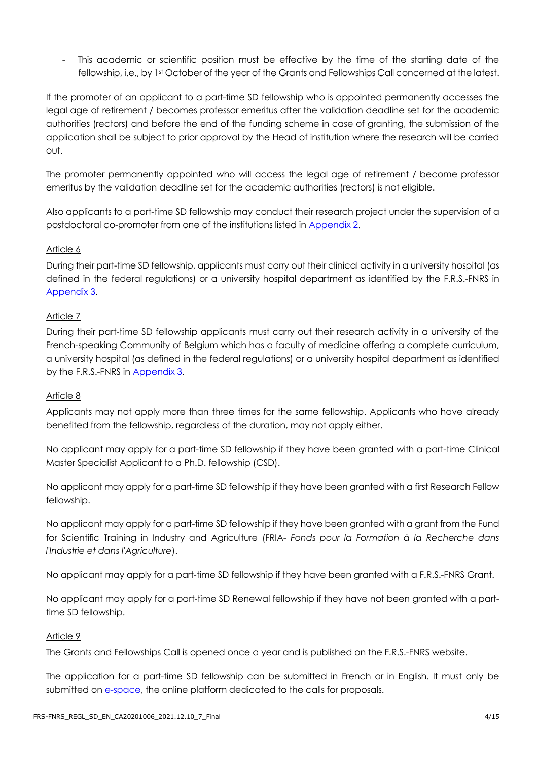This academic or scientific position must be effective by the time of the starting date of the fellowship, i.e., by 1st October of the year of the Grants and Fellowships Call concerned at the latest.

If the promoter of an applicant to a part-time SD fellowship who is appointed permanently accesses the legal age of retirement / becomes professor emeritus after the validation deadline set for the academic authorities (rectors) and before the end of the funding scheme in case of granting, the submission of the application shall be subject to prior approval by the Head of institution where the research will be carried out.

The promoter permanently appointed who will access the legal age of retirement / become professor emeritus by the validation deadline set for the academic authorities (rectors) is not eligible.

Also applicants to a part-time SD fellowship may conduct their research project under the supervision of a postdoctoral co-promoter from one of the institutions listed in [Appendix 2.](#page-9-0)

#### Article 6

During their part-time SD fellowship, applicants must carry out their clinical activity in a university hospital (as defined in the federal regulations) or a university hospital department as identified by the F.R.S.-FNRS in [Appendix 3.](#page-11-0)

#### Article 7

During their part-time SD fellowship applicants must carry out their research activity in a university of the French-speaking Community of Belgium which has a faculty of medicine offering a complete curriculum, a university hospital (as defined in the federal regulations) or a university hospital department as identified by the F.R.S.-FNRS in [Appendix 3.](#page-11-0)

#### Article 8

Applicants may not apply more than three times for the same fellowship. Applicants who have already benefited from the fellowship, regardless of the duration, may not apply either.

No applicant may apply for a part-time SD fellowship if they have been granted with a part-time Clinical Master Specialist Applicant to a Ph.D. fellowship (CSD).

No applicant may apply for a part-time SD fellowship if they have been granted with a first Research Fellow fellowship.

No applicant may apply for a part-time SD fellowship if they have been granted with a grant from the Fund for Scientific Training in Industry and Agriculture (FRIA- *Fonds pour la Formation à la Recherche dans l'Industrie et dans l'Agriculture*).

No applicant may apply for a part-time SD fellowship if they have been granted with a F.R.S.-FNRS Grant.

No applicant may apply for a part-time SD Renewal fellowship if they have not been granted with a parttime SD fellowship.

#### Article 9

The Grants and Fellowships Call is opened once a year and is published on the F.R.S.-FNRS website.

The application for a part-time SD fellowship can be submitted in French or in English. It must only be submitted on [e-space,](https://e-space.frs-fnrs.be/) the online platform dedicated to the calls for proposals.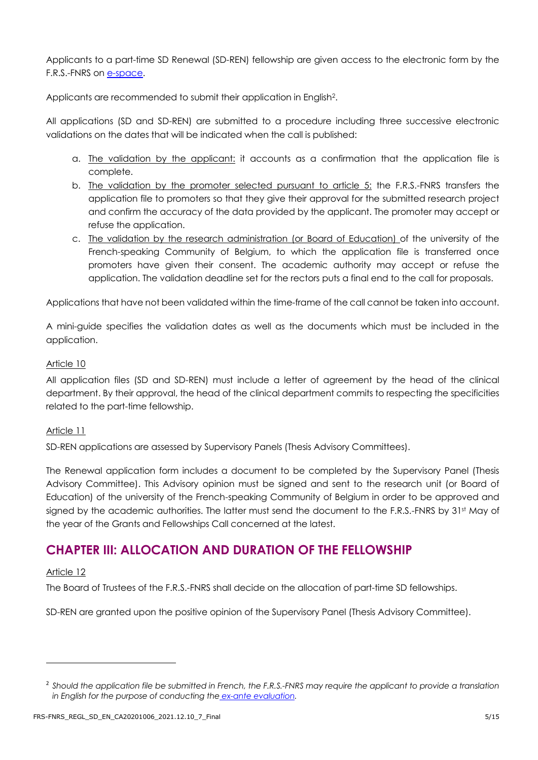Applicants to a part-time SD Renewal (SD-REN) fellowship are given access to the electronic form by the F.R.S.-FNRS on [e-space.](https://e-space.frs-fnrs.be/)

Applicants are recommended to submit their application in English2.

All applications (SD and SD-REN) are submitted to a procedure including three successive electronic validations on the dates that will be indicated when the call is published:

- a. The validation by the applicant: it accounts as a confirmation that the application file is complete.
- b. The validation by the promoter selected pursuant to article 5: the F.R.S.-FNRS transfers the application file to promoters so that they give their approval for the submitted research project and confirm the accuracy of the data provided by the applicant. The promoter may accept or refuse the application.
- c. The validation by the research administration (or Board of Education) of the university of the French-speaking Community of Belgium, to which the application file is transferred once promoters have given their consent. The academic authority may accept or refuse the application. The validation deadline set for the rectors puts a final end to the call for proposals.

Applications that have not been validated within the time-frame of the call cannot be taken into account.

A mini-guide specifies the validation dates as well as the documents which must be included in the application.

#### Article 10

All application files (SD and SD-REN) must include a letter of agreement by the head of the clinical department. By their approval, the head of the clinical department commits to respecting the specificities related to the part-time fellowship.

#### Article 11

SD-REN applications are assessed by Supervisory Panels (Thesis Advisory Committees).

The Renewal application form includes a document to be completed by the Supervisory Panel (Thesis Advisory Committee). This Advisory opinion must be signed and sent to the research unit (or Board of Education) of the university of the French-speaking Community of Belgium in order to be approved and signed by the academic authorities. The latter must send the document to the F.R.S.-FNRS by 31st May of the year of the Grants and Fellowships Call concerned at the latest.

## **CHAPTER III: ALLOCATION AND DURATION OF THE FELLOWSHIP**

#### Article 12

The Board of Trustees of the F.R.S.-FNRS shall decide on the allocation of part-time SD fellowships.

SD-REN are granted upon the positive opinion of the Supervisory Panel (Thesis Advisory Committee).

<sup>2</sup> *Should the application file be submitted in French, the F.R.S.-FNRS may require the applicant to provide a translation in English for the purpose of conducting the [ex-ante evaluation.](https://www.frs-fnrs.be/docs/Reglement-et-documents/FRS-FNRS_Guide_Evaluation_EN.pdf)*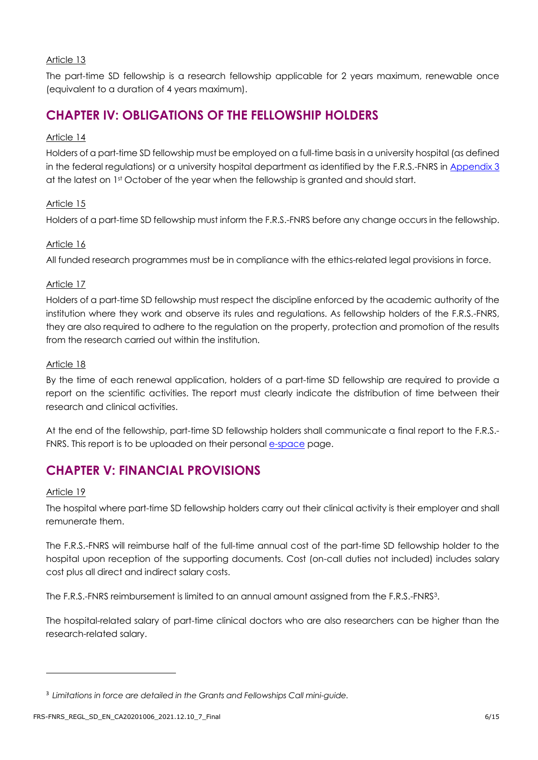#### Article 13

The part-time SD fellowship is a research fellowship applicable for 2 years maximum, renewable once (equivalent to a duration of 4 years maximum).

## **CHAPTER IV: OBLIGATIONS OF THE FELLOWSHIP HOLDERS**

#### Article 14

Holders of a part-time SD fellowship must be employed on a full-time basis in a university hospital (as defined in the federal regulations) or a university hospital department as identified by the F.R.S.-FNRS in [Appendix 3](#page-11-0) at the latest on 1st October of the year when the fellowship is granted and should start.

#### Article 15

Holders of a part-time SD fellowship must inform the F.R.S.-FNRS before any change occurs in the fellowship.

#### Article 16

All funded research programmes must be in compliance with the ethics-related legal provisions in force.

#### Article 17

Holders of a part-time SD fellowship must respect the discipline enforced by the academic authority of the institution where they work and observe its rules and regulations. As fellowship holders of the F.R.S.-FNRS, they are also required to adhere to the regulation on the property, protection and promotion of the results from the research carried out within the institution.

#### Article 18

By the time of each renewal application, holders of a part-time SD fellowship are required to provide a report on the scientific activities. The report must clearly indicate the distribution of time between their research and clinical activities.

At the end of the fellowship, part-time SD fellowship holders shall communicate a final report to the F.R.S.- FNRS. This report is to be uploaded on their personal e[-space](https://e-space.frs-fnrs.be/) page.

## **CHAPTER V: FINANCIAL PROVISIONS**

#### Article 19

The hospital where part-time SD fellowship holders carry out their clinical activity is their employer and shall remunerate them.

The F.R.S.-FNRS will reimburse half of the full-time annual cost of the part-time SD fellowship holder to the hospital upon reception of the supporting documents. Cost (on-call duties not included) includes salary cost plus all direct and indirect salary costs.

The F.R.S.-FNRS reimbursement is limited to an annual amount assigned from the F.R.S.-FNRS3.

The hospital-related salary of part-time clinical doctors who are also researchers can be higher than the research-related salary.

<sup>3</sup> *Limitations in force are detailed in the Grants and Fellowships Call mini-guide.*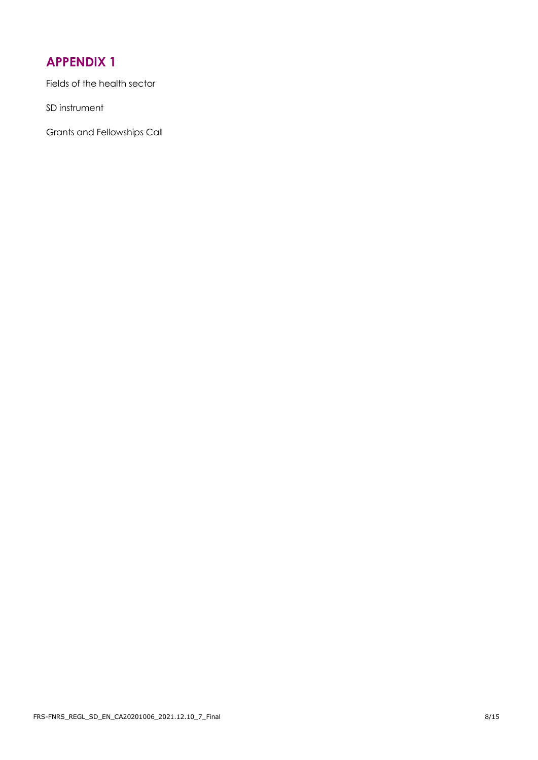## <span id="page-7-0"></span>**APPENDIX 1**

Fields of the health sector

SD instrument

Grants and Fellowships Call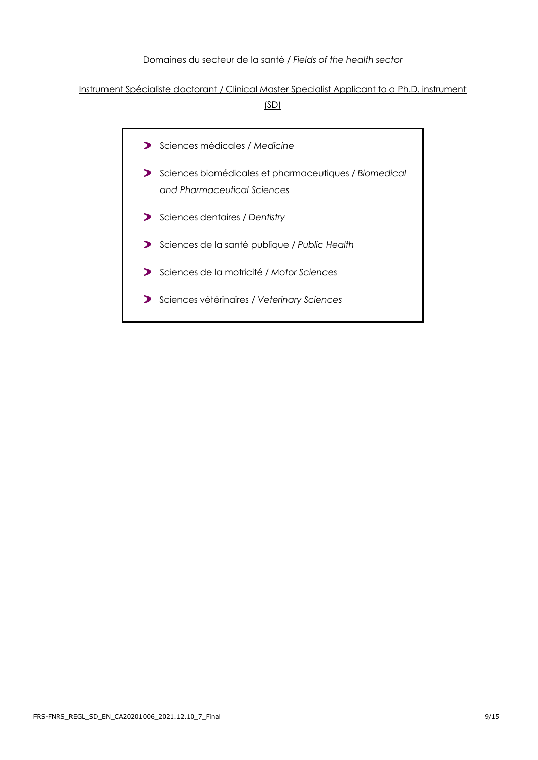#### Domaines du secteur de la santé / *Fields of the health sector*

#### Instrument Spécialiste doctorant / Clinical Master Specialist Applicant to a Ph.D. instrument (SD)

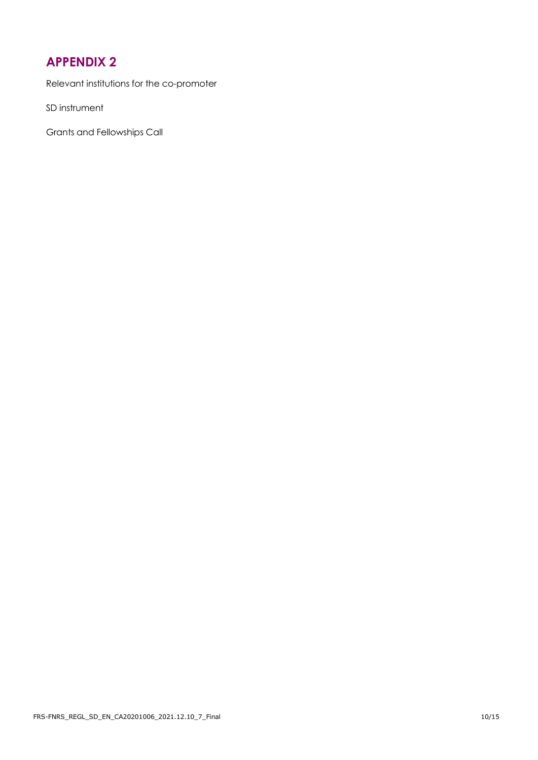## <span id="page-9-0"></span>**APPENDIX 2**

Relevant institutions for the co-promoter

SD instrument

Grants and Fellowships Call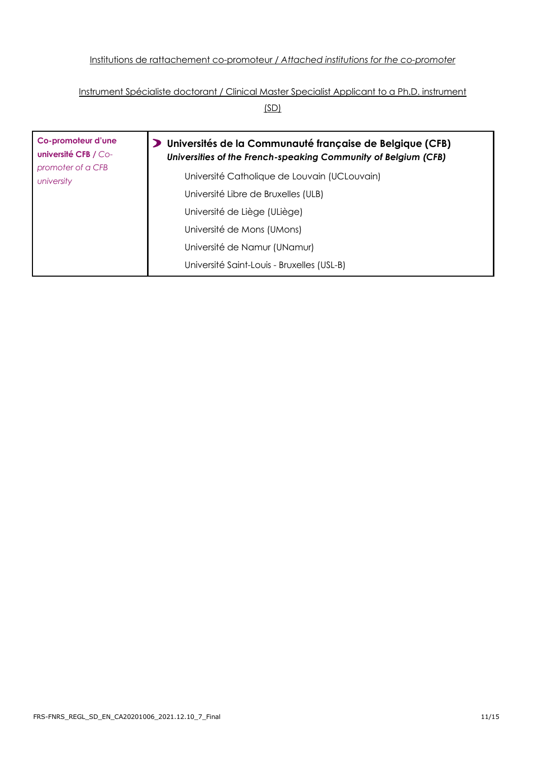#### Institutions de rattachement co-promoteur / *Attached institutions for the co-promoter*

#### Instrument Spécialiste doctorant / Clinical Master Specialist Applicant to a Ph.D. instrument

(SD)

| Co-promoteur d'une<br><b>université CFB / Co-</b><br>promoter of a CFB<br>university | Universités de la Communauté française de Belgique (CFB)<br>⋗<br>Universities of the French-speaking Community of Belgium (CFB) |
|--------------------------------------------------------------------------------------|---------------------------------------------------------------------------------------------------------------------------------|
|                                                                                      | Université Catholique de Louvain (UCLouvain)                                                                                    |
|                                                                                      | Université Libre de Bruxelles (ULB)                                                                                             |
|                                                                                      | Université de Liège (ULiège)                                                                                                    |
|                                                                                      | Université de Mons (UMons)                                                                                                      |
|                                                                                      | Université de Namur (UNamur)                                                                                                    |
|                                                                                      | Université Saint-Louis - Bruxelles (USL-B)                                                                                      |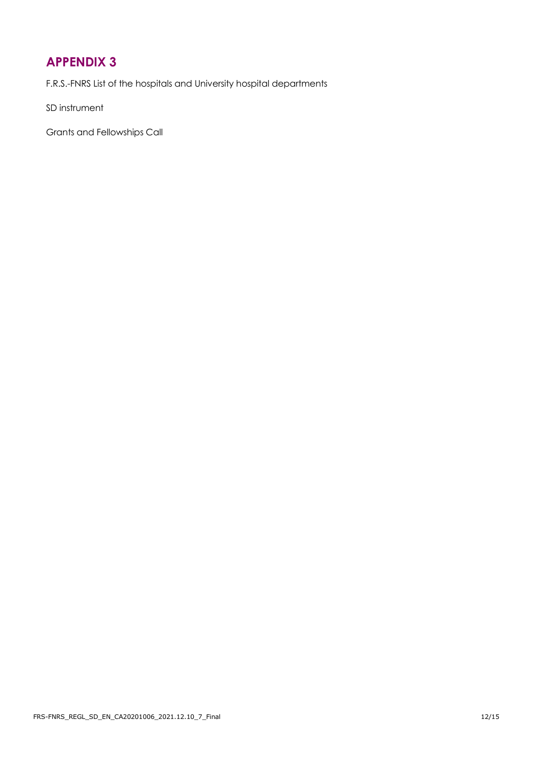## <span id="page-11-0"></span>**APPENDIX 3**

F.R.S.-FNRS List of the hospitals and University hospital departments

SD instrument

Grants and Fellowships Call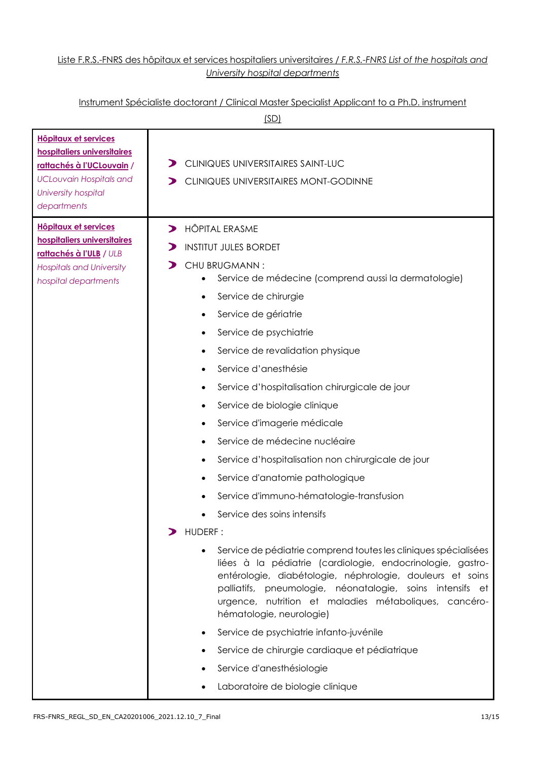#### Liste F.R.S.-FNRS des hôpitaux et services hospitaliers universitaires / *F.R.S.-FNRS List of the hospitals and University hospital departments*

#### Instrument Spécialiste doctorant / Clinical Master Specialist Applicant to a Ph.D. instrument

|                                                                                                                                                                 | (SD)                                                                                                                                                                                                                                                                                                                                                                                                                                                                                                                                                                                                                                                                                                                                                                                                                                                                                                                                                                                                                                                                                                                                             |
|-----------------------------------------------------------------------------------------------------------------------------------------------------------------|--------------------------------------------------------------------------------------------------------------------------------------------------------------------------------------------------------------------------------------------------------------------------------------------------------------------------------------------------------------------------------------------------------------------------------------------------------------------------------------------------------------------------------------------------------------------------------------------------------------------------------------------------------------------------------------------------------------------------------------------------------------------------------------------------------------------------------------------------------------------------------------------------------------------------------------------------------------------------------------------------------------------------------------------------------------------------------------------------------------------------------------------------|
| <b>Hôpitaux et services</b><br>hospitaliers universitaires<br>rattachés à l'UCLouvain /<br><b>UCLouvain Hospitals and</b><br>University hospital<br>departments | CLINIQUES UNIVERSITAIRES SAINT-LUC<br>CLINIQUES UNIVERSITAIRES MONT-GODINNE<br>⋗                                                                                                                                                                                                                                                                                                                                                                                                                                                                                                                                                                                                                                                                                                                                                                                                                                                                                                                                                                                                                                                                 |
| Hôpitaux et services<br>hospitaliers universitaires<br>rattachés à l'ULB / ULB<br><b>Hospitals and University</b><br>hospital departments                       | <b>HÔPITAL ERASME</b><br>$\blacktriangleright$<br><b>INSTITUT JULES BORDET</b><br>CHU BRUGMANN:<br>Service de médecine (comprend aussi la dermatologie)<br>Service de chirurgie<br>Service de gériatrie<br>Service de psychiatrie<br>٠<br>Service de revalidation physique<br>Service d'anesthésie<br>Service d'hospitalisation chirurgicale de jour<br>Service de biologie clinique<br>Service d'imagerie médicale<br>Service de médecine nucléaire<br>Service d'hospitalisation non chirurgicale de jour<br>Service d'anatomie pathologique<br>Service d'immuno-hématologie-transfusion<br>Service des soins intensifs<br>HUDERF:<br>Service de pédiatrie comprend toutes les cliniques spécialisées<br>liées à la pédiatrie (cardiologie, endocrinologie, gastro-<br>entérologie, diabétologie, néphrologie, douleurs et soins<br>palliatifs, pneumologie, néonatalogie, soins intensifs et<br>urgence, nutrition et maladies métaboliques, cancéro-<br>hématologie, neurologie)<br>Service de psychiatrie infanto-juvénile<br>Service de chirurgie cardiaque et pédiatrique<br>Service d'anesthésiologie<br>Laboratoire de biologie clinique |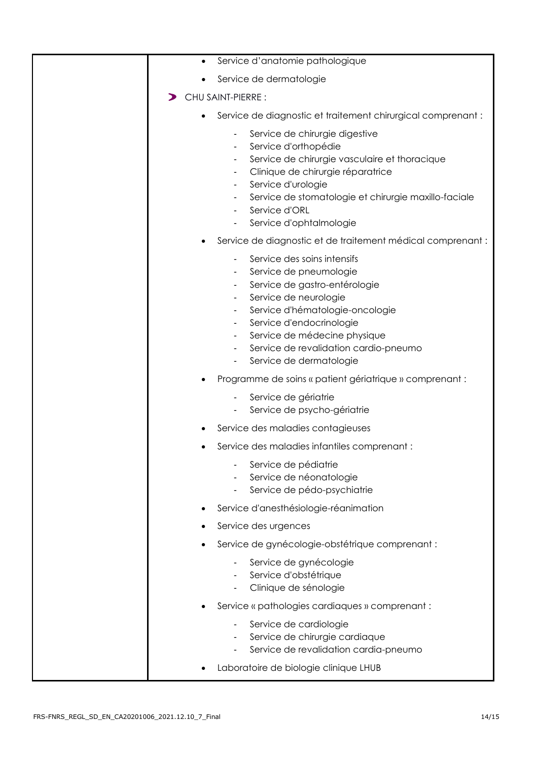| Service d'anatomie pathologique<br>$\bullet$                                                                                                                                                                                                                                            |
|-----------------------------------------------------------------------------------------------------------------------------------------------------------------------------------------------------------------------------------------------------------------------------------------|
| Service de dermatologie                                                                                                                                                                                                                                                                 |
| CHU SAINT-PIERRE :                                                                                                                                                                                                                                                                      |
| Service de diagnostic et traitement chirurgical comprenant :<br>$\bullet$                                                                                                                                                                                                               |
| Service de chirurgie digestive<br>Service d'orthopédie<br>Service de chirurgie vasculaire et thoracique<br>Clinique de chirurgie réparatrice<br>Service d'urologie<br>٠<br>Service de stomatologie et chirurgie maxillo-faciale<br>Service d'ORL<br>Service d'ophtalmologie             |
| Service de diagnostic et de traitement médical comprenant :                                                                                                                                                                                                                             |
| Service des soins intensifs<br>Service de pneumologie<br>Service de gastro-entérologie<br>Service de neurologie<br>۰<br>Service d'hématologie-oncologie<br>Service d'endocrinologie<br>Service de médecine physique<br>Service de revalidation cardio-pneumo<br>Service de dermatologie |
| Programme de soins « patient gériatrique » comprenant :                                                                                                                                                                                                                                 |
| Service de gériatrie<br>Service de psycho-gériatrie                                                                                                                                                                                                                                     |
| Service des maladies contagieuses                                                                                                                                                                                                                                                       |
| Service des maladies infantiles comprenant :                                                                                                                                                                                                                                            |
| Service de pédiatrie<br>Service de néonatologie<br>Service de pédo-psychiatrie                                                                                                                                                                                                          |
| Service d'anesthésiologie-réanimation                                                                                                                                                                                                                                                   |
| Service des urgences                                                                                                                                                                                                                                                                    |
| Service de gynécologie-obstétrique comprenant :                                                                                                                                                                                                                                         |
| Service de gynécologie<br>Service d'obstétrique<br>Clinique de sénologie                                                                                                                                                                                                                |
| Service « pathologies cardiaques » comprenant :                                                                                                                                                                                                                                         |
| Service de cardiologie<br>Service de chirurgie cardiaque<br>Service de revalidation cardia-pneumo<br>Laboratoire de biologie clinique LHUB                                                                                                                                              |
|                                                                                                                                                                                                                                                                                         |